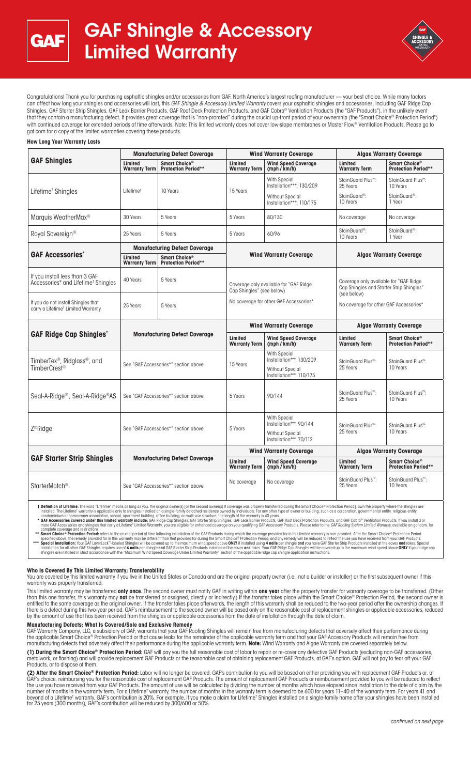



Congratulations! Thank you for purchasing asphaltic shingles and/or accessories from GAF, North America's largest roofing manufacturer — your best choice. While many factors can affect how long your shingles and accessories will last, this *GAF Shingle & Accessory Limited Warranty* covers your asphaltic shingles and accessories, including GAF Ridge Cap Shingles, GAF Starter Strip Shingles, GAF Leak Barrier Products, GAF Roof Deck Protection Products, and GAF Cobra® Ventilation Products (the "GAF Products"), in the unlikely event that they contain a manufacturing defect. It provides great coverage that is "non-prorated" during the crucial up-front period of your ownership (the "Smart Choice® Protection Period") with continued coverage for extended periods of time afterwards. Note: This limited warranty does not cover low-slope membranes or Master Flow® Ventilation Products. Please go to gaf.com for a copy of the limited warranties covering these products.

### **How Long Your Warranty Lasts**

| <b>GAF Shingles</b>                                                                   | <b>Manufacturing Defect Coverage</b> |                                                         | <b>Wind Warranty Coverage</b>                                                                                 |                                                                                                       | <b>Algae Warranty Coverage</b>                                                                                                              |                                                         |
|---------------------------------------------------------------------------------------|--------------------------------------|---------------------------------------------------------|---------------------------------------------------------------------------------------------------------------|-------------------------------------------------------------------------------------------------------|---------------------------------------------------------------------------------------------------------------------------------------------|---------------------------------------------------------|
|                                                                                       | Limited<br><b>Warranty Term</b>      | Smart Choice®<br><b>Protection Period**</b>             | Limited<br><b>Warranty Term</b>                                                                               | <b>Wind Speed Coverage</b><br>(mph / km/h)                                                            | Limited<br><b>Warranty Term</b>                                                                                                             | Smart Choice <sup>®</sup><br><b>Protection Period**</b> |
| Lifetime <sup>†</sup> Shingles                                                        | Lifetime <sup>+</sup>                | 10 Years                                                | 15 Years                                                                                                      | <b>With Special</b><br>Installation***: 130/209                                                       | StainGuard Plus <sup>™</sup> :<br>25 Years                                                                                                  | StainGuard Plus <sup>™</sup> :<br>10 Years              |
|                                                                                       |                                      |                                                         |                                                                                                               | <b>Without Special</b><br>Installation***: 110/175                                                    | StainGuard <sup>®</sup> :<br>10 Years                                                                                                       | StainGuard <sup>®</sup> :<br>1 Year                     |
| Marquis WeatherMax <sup>®</sup>                                                       | 30 Years                             | 5 Years                                                 | 5 Years                                                                                                       | 80/130                                                                                                | No coverage                                                                                                                                 | No coverage                                             |
| Royal Sovereign <sup>®</sup>                                                          | 25 Years                             | 5 Years                                                 | 5 Years                                                                                                       | 60/96                                                                                                 | StainGuard <sup>®</sup> :<br>10 Years                                                                                                       | StainGuard <sup>®</sup> :<br>1 Year                     |
| <b>GAF Accessories</b> *                                                              | <b>Manufacturing Defect Coverage</b> |                                                         |                                                                                                               |                                                                                                       |                                                                                                                                             |                                                         |
|                                                                                       | Limited<br><b>Warranty Term</b>      | Smart Choice <sup>®</sup><br><b>Protection Period**</b> | <b>Wind Warranty Coverage</b>                                                                                 |                                                                                                       | <b>Algae Warranty Coverage</b>                                                                                                              |                                                         |
| If you install less than 3 GAF<br>Accessories* and Lifetime <sup>†</sup> Shingles     | 40 Years                             | 5 Years                                                 | Coverage only available for "GAF Ridge<br>Cap Shingles" (see below)<br>No coverage for other GAF Accessories* |                                                                                                       | Coverage only available for "GAF Ridge<br>Cap Shingles and Starter Strip Shingles"<br>(see below)<br>No coverage for other GAF Accessories* |                                                         |
| If you do not install Shingles that<br>carry a Lifetime <sup>+</sup> Limited Warranty | 25 Years                             | 5 Years                                                 |                                                                                                               |                                                                                                       |                                                                                                                                             |                                                         |
| <b>GAF Ridge Cap Shingles*</b>                                                        | <b>Manufacturing Defect Coverage</b> |                                                         | <b>Wind Warranty Coverage</b>                                                                                 |                                                                                                       | <b>Algae Warranty Coverage</b>                                                                                                              |                                                         |
|                                                                                       |                                      |                                                         | Limited<br><b>Warranty Term</b>                                                                               | <b>Wind Speed Coverage</b><br>(mph / km/h)                                                            | Limited<br><b>Warranty Term</b>                                                                                                             | Smart Choice <sup>®</sup><br><b>Protection Period**</b> |
| TimberTex <sup>®</sup> , Ridglass <sup>®</sup> , and<br>TimberCrest <sup>®</sup>      | See "GAF Accessories*" section above |                                                         | 15 Years                                                                                                      | <b>With Special</b><br>Installation***: 130/209<br><b>Without Special</b><br>Installation***: 110/175 | StainGuard Plus <sup>™</sup> :<br>25 Years                                                                                                  | StainGuard Plus <sup>™</sup> :<br>10 Years              |
| Seal-A-Ridge <sup>®</sup> , Seal-A-Ridge <sup>®</sup> AS                              | See "GAF Accessories*" section above |                                                         | 5 Years                                                                                                       | 90/144                                                                                                | StainGuard Plus <sup>™</sup> :<br>25 Years                                                                                                  | StainGuard Plus <sup>™</sup> :<br>10 Years              |
| Z <sup>®</sup> Ridge                                                                  | See "GAF Accessories*" section above |                                                         | 5 Years                                                                                                       | <b>With Special</b><br>Installation***: 90/144<br><b>Without Special</b><br>Installation***: 70/112   | StainGuard Plus <sup>™</sup> :<br>25 Years                                                                                                  | StainGuard Plus <sup>™</sup> :<br>10 Years              |
|                                                                                       | <b>Manufacturing Defect Coverage</b> |                                                         | <b>Wind Warranty Coverage</b>                                                                                 |                                                                                                       | <b>Algae Warranty Coverage</b>                                                                                                              |                                                         |
| <b>GAF Starter Strip Shingles</b>                                                     |                                      |                                                         | Limited<br><b>Warranty Term</b>                                                                               | <b>Wind Speed Coverage</b><br>(mph / km/h)                                                            | Limited<br><b>Warranty Term</b>                                                                                                             | Smart Choice®<br><b>Protection Period**</b>             |
| StarterMatch <sup>®</sup>                                                             | See "GAF Accessories*" section above |                                                         | No coverage                                                                                                   | No coverage                                                                                           | StainGuard Plus <sup>™</sup> :<br>25 Years                                                                                                  | StainGuard Plus <sup>™</sup> :<br>10 Years              |

**1 Definition of Lifetime:** The word "Lifetime" means as long as you, the original owner(s) [or the second owner(s) if coverage was properly transferred during the Smart Choice® Protection Period), own the properly where t

#### **Who Is Covered By This Limited Warranty; Transferability**

You are covered by this limited warranty if you live in the United States or Canada and are the original property owner (i.e., not a builder or installer) or the first subsequent owner if this warranty was properly transferred.

This limited warranty may be transferred **only once**. The second owner must notify GAF in writing within **one year** after the property transfer for warranty coverage to be transferred. (Other than this one transfer, this warranty may **not** be transferred or assigned, directly or indirectly.) If the transfer takes place within the Smart Choice® Protection Period, the second owner is entitled to the same coverage as the original owner. If the transfer takes place afterwards, the length of this warranty shall be reduced to the two-year period after the ownership changes. If there is a defect during this two-year period, GAF's reimbursement to the second owner will be based only on the reasonable cost of replacement shingles or applicable accessories, reduced by the amount of use that has been received from the shingles or applicable accessories from the date of installation through the date of claim.

# **Manufacturing Defects: What Is Covered/Sole and Exclusive Remedy**

GAF Warranty Company, LLC, a subsidiary of GAF, warrants that your GAF Roofing Shingles will remain free from manufacturing defects that adversely affect their performance during<br>the applicable Smart Choice® Protection Per

**(1) During the Smart Choice® Protection Period:** GAF will pay you the full reasonable cost of labor to repair or re-cover any defective GAF Products (excluding non-GAF accessories, metalwork, or flashing) and will provide replacement GAF Products or the reasonable cost of obtaining replacement GAF Products, at GAF's option. GAF will not pay to tear off your GAF Products, or to dispose of them.

**(2) After the Smart Choice® Protection Period:** Labor will no longer be covered. GAF's contribution to you will be based on either providing you with replacement GAF Products or, at GAF's choice, reimbursing you for the reasonable cost of replacement GAF Products. The amount of replacement GAF Products or reimbursement provided to you will be reduced to reflect<br>the use you have received from your GAF number of months in the warranty term. For a Lifetime† warranty, the number of months in the warranty term is deemed to be 600 for years 11–40 of the warranty term. For years 41 and<br>beyond of a Lifetime† warranty, GAF's co for 25 years (300 months), GAF's contribution will be reduced by 300/600 or 50%.